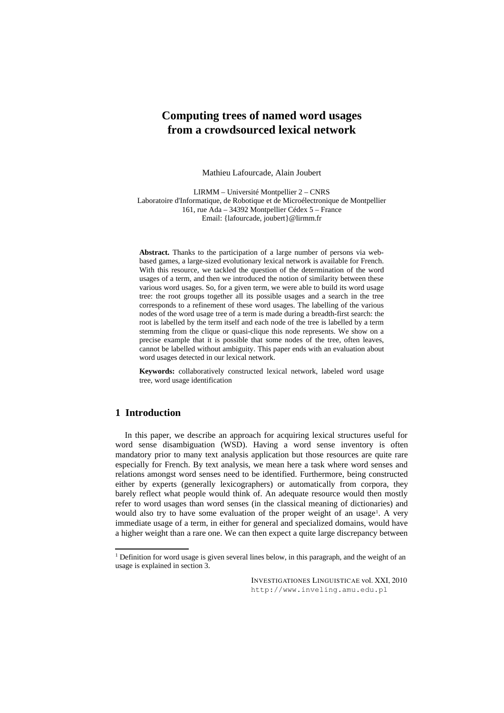# **Computing trees of named word usages from a crowdsourced lexical network**

Mathieu Lafourcade, Alain Joubert

LIRMM – Université Montpellier 2 – CNRS Laboratoire d'Informatique, de Robotique et de Microélectronique de Montpellier 161, rue Ada – 34392 Montpellier Cédex 5 – France Email: {lafourcade, joubert}@lirmm.fr

**Abstract.** Thanks to the participation of a large number of persons via webbased games, a large-sized evolutionary lexical network is available for French. With this resource, we tackled the question of the determination of the word usages of a term, and then we introduced the notion of similarity between these various word usages. So, for a given term, we were able to build its word usage tree: the root groups together all its possible usages and a search in the tree corresponds to a refinement of these word usages. The labelling of the various nodes of the word usage tree of a term is made during a breadth-first search: the root is labelled by the term itself and each node of the tree is labelled by a term stemming from the clique or quasi-clique this node represents. We show on a precise example that it is possible that some nodes of the tree, often leaves, cannot be labelled without ambiguity. This paper ends with an evaluation about word usages detected in our lexical network.

**Keywords:** collaboratively constructed lexical network, labeled word usage tree, word usage identification

# **1 Introduction**

In this paper, we describe an approach for acquiring lexical structures useful for word sense disambiguation (WSD). Having a word sense inventory is often mandatory prior to many text analysis application but those resources are quite rare especially for French. By text analysis, we mean here a task where word senses and relations amongst word senses need to be identified. Furthermore, being constructed either by experts (generally lexicographers) or automatically from corpora, they barely reflect what people would think of. An adequate resource would then mostly refer to word usages than word senses (in the classical meaning of dictionaries) and would also try to have some evaluation of the proper weight of an usage<sup>1</sup>. A very immediate usage of a term, in either for general and specialized domains, would have a higher weight than a rare one. We can then expect a quite large discrepancy between

<sup>&</sup>lt;sup>1</sup> Definition for word usage is given several lines below, in this paragraph, and the weight of an usage is explained in section 3.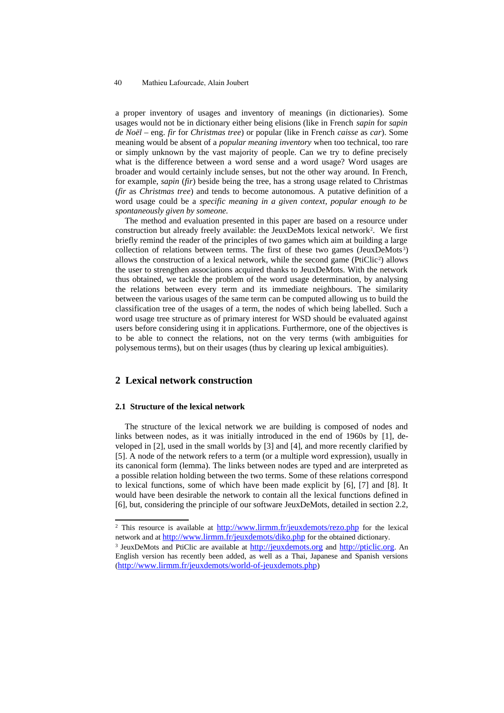a proper inventory of usages and inventory of meanings (in dictionaries). Some usages would not be in dictionary either being elisions (like in French *sapin* for *sapin de Noël* – eng. *fir* for *Christmas tree*) or popular (like in French *caisse* as *car*). Some meaning would be absent of a *popular meaning inventory* when too technical, too rare or simply unknown by the vast majority of people. Can we try to define precisely what is the difference between a word sense and a word usage? Word usages are broader and would certainly include senses, but not the other way around. In French, for example, *sapin* (*fir*) beside being the tree, has a strong usage related to Christmas (*fir* as *Christmas tree*) and tends to become autonomous. A putative definition of a word usage could be a *specific meaning in a given context, popular enough to be spontaneously given by someone.*

The method and evaluation presented in this paper are based on a resource under construction but already freely available: the JeuxDeMots lexical network<sup>2</sup>. We first briefly remind the reader of the principles of two games which aim at building a large collection of relations between terms. The first of these two games (JeuxDeMots<sup>3</sup>) allows the construction of a lexical network, while the second game (PtiClic<sup>2</sup>) allows the user to strengthen associations acquired thanks to JeuxDeMots. With the network thus obtained, we tackle the problem of the word usage determination, by analysing the relations between every term and its immediate neighbours. The similarity between the various usages of the same term can be computed allowing us to build the classification tree of the usages of a term, the nodes of which being labelled. Such a word usage tree structure as of primary interest for WSD should be evaluated against users before considering using it in applications. Furthermore, one of the objectives is to be able to connect the relations, not on the very terms (with ambiguities for polysemous terms), but on their usages (thus by clearing up lexical ambiguities).

# **2 Lexical network construction**

#### **2.1 Structure of the lexical network**

The structure of the lexical network we are building is composed of nodes and links between nodes, as it was initially introduced in the end of 1960s by [1], developed in [2], used in the small worlds by [3] and [4], and more recently clarified by [5]. A node of the network refers to a term (or a multiple word expression), usually in its canonical form (lemma). The links between nodes are typed and are interpreted as a possible relation holding between the two terms. Some of these relations correspond to lexical functions, some of which have been made explicit by [6], [7] and [8]. It would have been desirable the network to contain all the lexical functions defined in [6], but, considering the principle of our software JeuxDeMots, detailed in section 2.2,

<sup>&</sup>lt;sup>2</sup> This resource is available at  $\frac{http://www.lirmm.fr/jeuxdemots/rezo.php}{http://www.lirmm.fr/jeuxdemots/rezo.php}$  for the lexical network and at http://www.lirmm.fr/jeuxdemots/diko.php for the obtained dictionary.

<sup>&</sup>lt;sup>3</sup> JeuxDeMots and PtiClic are available at http://jeuxdemots.org and http://pticlic.org. An English version has recently been added, as well as a Thai, Japanese and Spanish versions (http://www.lirmm.fr/jeuxdemots/world-of-jeuxdemots.php)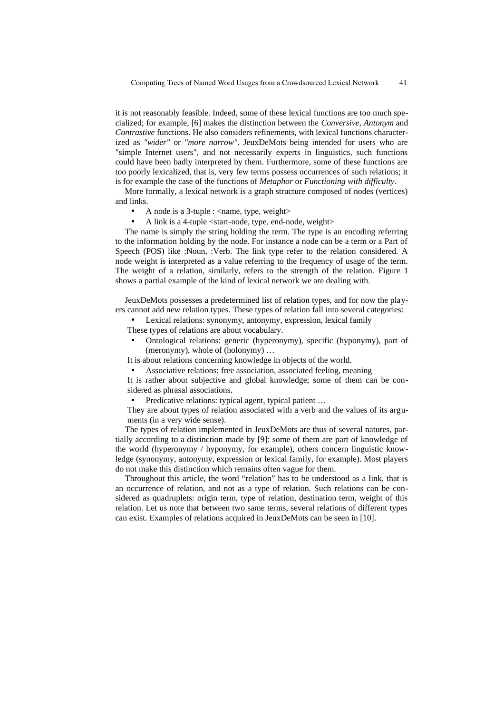it is not reasonably feasible. Indeed, some of these lexical functions are too much specialized; for example, [6] makes the distinction between the *Conversive*, *Antonym* and *Contrastive* functions. He also considers refinements, with lexical functions characterized as *"wider"* or *"more narrow"*. JeuxDeMots being intended for users who are "simple Internet users", and not necessarily experts in linguistics, such functions could have been badly interpreted by them. Furthermore, some of these functions are too poorly lexicalized, that is, very few terms possess occurrences of such relations; it is for example the case of the functions of *Metaphor* or *Functioning with difficulty*.

More formally, a lexical network is a graph structure composed of nodes (vertices) and links.

- A node is a 3-tuple : <name, type, weight>
- A link is a 4-tuple <start-node, type, end-node, weight>

The name is simply the string holding the term. The type is an encoding referring to the information holding by the node. For instance a node can be a term or a Part of Speech (POS) like :Noun, :Verb. The link type refer to the relation considered. A node weight is interpreted as a value referring to the frequency of usage of the term. The weight of a relation, similarly, refers to the strength of the relation. Figure 1 shows a partial example of the kind of lexical network we are dealing with.

JeuxDeMots possesses a predetermined list of relation types, and for now the players cannot add new relation types. These types of relation fall into several categories:

- Lexical relations: synonymy, antonymy, expression, lexical family These types of relations are about vocabulary.
- Ontological relations: generic (hyperonymy), specific (hyponymy), part of (meronymy), whole of (holonymy) …

It is about relations concerning knowledge in objects of the world.

• Associative relations: free association, associated feeling, meaning

It is rather about subjective and global knowledge; some of them can be considered as phrasal associations.

Predicative relations: typical agent, typical patient ...

They are about types of relation associated with a verb and the values of its arguments (in a very wide sense).

The types of relation implemented in JeuxDeMots are thus of several natures, partially according to a distinction made by [9]: some of them are part of knowledge of the world (hyperonymy / hyponymy, for example), others concern linguistic knowledge (synonymy, antonymy, expression or lexical family, for example). Most players do not make this distinction which remains often vague for them.

Throughout this article, the word "relation" has to be understood as a link, that is an occurrence of relation, and not as a type of relation. Such relations can be considered as quadruplets: origin term, type of relation, destination term, weight of this relation. Let us note that between two same terms, several relations of different types can exist. Examples of relations acquired in JeuxDeMots can be seen in [10].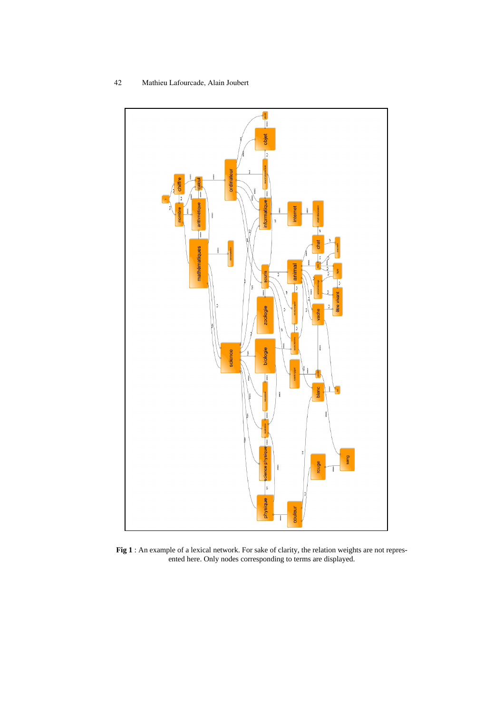



**Fig 1** : An example of a lexical network. For sake of clarity, the relation weights are not represented here. Only nodes corresponding to terms are displayed.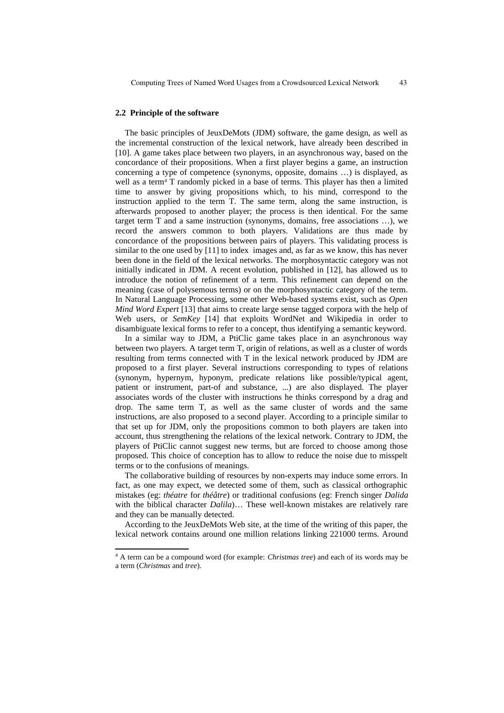#### **2.2 Principle of the software**

The basic principles of JeuxDeMots (JDM) software, the game design, as well as the incremental construction of the lexical network, have already been described in [10]. A game takes place between two players, in an asynchronous way, based on the concordance of their propositions. When a first player begins a game, an instruction concerning a type of competence (synonyms, opposite, domains …) is displayed, as well as a term<sup>4</sup> T randomly picked in a base of terms. This player has then a limited time to answer by giving propositions which, to his mind, correspond to the instruction applied to the term T. The same term, along the same instruction, is afterwards proposed to another player; the process is then identical. For the same target term T and a same instruction (synonyms, domains, free associations …), we record the answers common to both players. Validations are thus made by concordance of the propositions between pairs of players. This validating process is similar to the one used by [11] to index images and, as far as we know, this has never been done in the field of the lexical networks. The morphosyntactic category was not initially indicated in JDM. A recent evolution, published in [12], has allowed us to introduce the notion of refinement of a term. This refinement can depend on the meaning (case of polysemous terms) or on the morphosyntactic category of the term. In Natural Language Processing, some other Web-based systems exist, such as *Open Mind Word Expert* [13] that aims to create large sense tagged corpora with the help of Web users, or *SemKey* [14] that exploits WordNet and Wikipedia in order to disambiguate lexical forms to refer to a concept, thus identifying a semantic keyword.

In a similar way to JDM, a PtiClic game takes place in an asynchronous way between two players. A target term T, origin of relations, as well as a cluster of words resulting from terms connected with T in the lexical network produced by JDM are proposed to a first player. Several instructions corresponding to types of relations (synonym, hypernym, hyponym, predicate relations like possible/typical agent, patient or instrument, part-of and substance, ...) are also displayed. The player associates words of the cluster with instructions he thinks correspond by a drag and drop. The same term T, as well as the same cluster of words and the same instructions, are also proposed to a second player. According to a principle similar to that set up for JDM, only the propositions common to both players are taken into account, thus strengthening the relations of the lexical network. Contrary to JDM, the players of PtiClic cannot suggest new terms, but are forced to choose among those proposed. This choice of conception has to allow to reduce the noise due to misspelt terms or to the confusions of meanings.

The collaborative building of resources by non-experts may induce some errors. In fact, as one may expect, we detected some of them, such as classical orthographic mistakes (eg: *théatre* for *théâtre*) or traditional confusions (eg: French singer *Dalida* with the biblical character *Dalila*)… These well-known mistakes are relatively rare and they can be manually detected.

According to the JeuxDeMots Web site, at the time of the writing of this paper, the lexical network contains around one million relations linking 221000 terms. Around

<sup>4</sup> A term can be a compound word (for example: *Christmas tree*) and each of its words may be a term (*Christmas* and *tree*).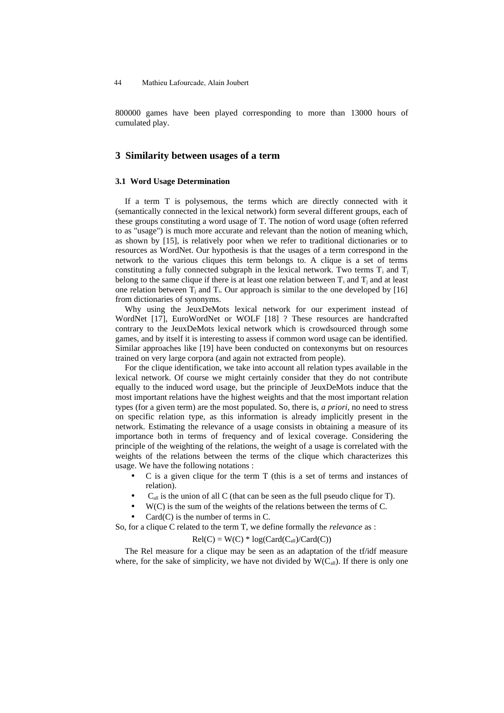800000 games have been played corresponding to more than 13000 hours of cumulated play.

# **3 Similarity between usages of a term**

#### **3.1 Word Usage Determination**

If a term T is polysemous, the terms which are directly connected with it (semantically connected in the lexical network) form several different groups, each of these groups constituting a word usage of T. The notion of word usage (often referred to as "usage") is much more accurate and relevant than the notion of meaning which, as shown by [15], is relatively poor when we refer to traditional dictionaries or to resources as WordNet. Our hypothesis is that the usages of a term correspond in the network to the various cliques this term belongs to. A clique is a set of terms constituting a fully connected subgraph in the lexical network. Two terms  $T_i$  and  $T_j$ belong to the same clique if there is at least one relation between  $T_i$  and  $T_j$  and at least one relation between  $T_i$  and  $T_i$ . Our approach is similar to the one developed by [16] from dictionaries of synonyms.

Why using the JeuxDeMots lexical network for our experiment instead of WordNet [17], EuroWordNet or WOLF [18] ? These resources are handcrafted contrary to the JeuxDeMots lexical network which is crowdsourced through some games, and by itself it is interesting to assess if common word usage can be identified. Similar approaches like [19] have been conducted on contexonyms but on resources trained on very large corpora (and again not extracted from people).

For the clique identification, we take into account all relation types available in the lexical network. Of course we might certainly consider that they do not contribute equally to the induced word usage, but the principle of JeuxDeMots induce that the most important relations have the highest weights and that the most important relation types (for a given term) are the most populated. So, there is, *a priori*, no need to stress on specific relation type, as this information is already implicitly present in the network. Estimating the relevance of a usage consists in obtaining a measure of its importance both in terms of frequency and of lexical coverage. Considering the principle of the weighting of the relations, the weight of a usage is correlated with the weights of the relations between the terms of the clique which characterizes this usage. We have the following notations :

- $C$  is a given clique for the term  $T$  (this is a set of terms and instances of relation).
- $C<sub>all</sub>$  is the union of all C (that can be seen as the full pseudo clique for T).
- $\bullet$  W(C) is the sum of the weights of the relations between the terms of C.
- $Card(C)$  is the number of terms in C.

So, for a clique C related to the term T, we define formally the *relevance* as :

 $Rel(C) = W(C) * log(Card(C_{all})/Card(C))$ 

The Rel measure for a clique may be seen as an adaptation of the tf/idf measure where, for the sake of simplicity, we have not divided by  $W(C_{all})$ . If there is only one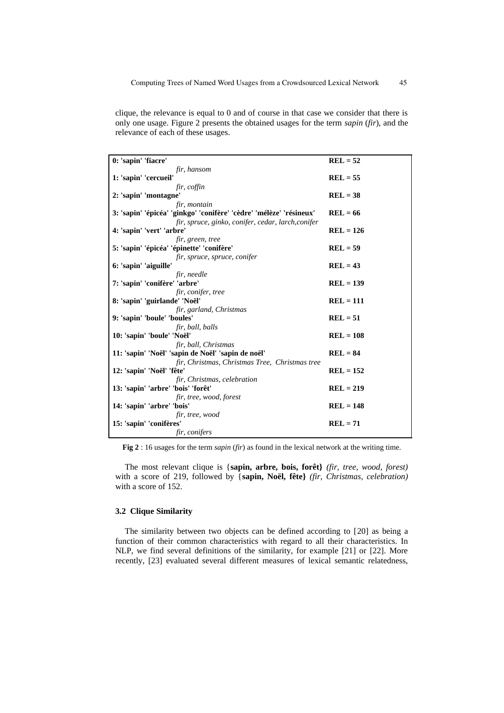clique, the relevance is equal to 0 and of course in that case we consider that there is only one usage. Figure 2 presents the obtained usages for the term *sapin* (*fir*), and the relevance of each of these usages.

| 0: 'sapin' 'fiacre'                                                 | $REL = 52$  |
|---------------------------------------------------------------------|-------------|
| fir, hansom                                                         |             |
| 1: 'sapin' 'cercueil'                                               | $REL = 55$  |
| fir, coffin                                                         |             |
| 2: 'sapin' 'montagne'                                               | $REL = 38$  |
| fir, montain                                                        |             |
| 3: 'sapin' 'épicéa' 'ginkgo' 'conifère' 'cèdre' 'mélèze' 'résineux' | $REL = 66$  |
| fir, spruce, ginko, conifer, cedar, larch, conifer                  |             |
| 4: 'sapin' 'vert' 'arbre'                                           | $REL = 126$ |
| fir, green, tree                                                    |             |
| 5: 'sapin' 'épicéa' 'épinette' 'conifère'                           | $REL = 59$  |
| fir, spruce, spruce, conifer                                        |             |
| 6: 'sapin' 'aiguille'                                               | $REL = 43$  |
| fir, needle                                                         |             |
| 7: 'sapin' 'conifère' 'arbre'                                       | $REL = 139$ |
| fir, conifer, tree                                                  |             |
| 8: 'sapin' 'guirlande' 'Noël'                                       | $REL = 111$ |
| fir, garland, Christmas                                             |             |
| 9: 'sapin' 'boule' 'boules'                                         | $REL = 51$  |
| fir, ball, balls                                                    |             |
| 10: 'sapin' 'boule' 'Noël'                                          | $REL = 108$ |
| fir, ball, Christmas                                                |             |
| 11: 'sapin' 'Noël' 'sapin de Noël' 'sapin de noël'                  | $REL = 84$  |
| fir, Christmas, Christmas Tree, Christmas tree                      |             |
| 12: 'sapin' 'Noël' 'fête'                                           | $REL = 152$ |
| fir, Christmas, celebration                                         |             |
| 13: 'sapin' 'arbre' 'bois' 'forêt'                                  | $REL = 219$ |
| fir, tree, wood, forest                                             |             |
| 14: 'sapin' 'arbre' 'bois'                                          | $REL = 148$ |
| fir, tree, wood                                                     |             |
| 15: 'sapin' 'conifères'                                             | $REL = 71$  |
| fir, conifers                                                       |             |

**Fig 2** : 16 usages for the term *sapin* (*fir*) as found in the lexical network at the writing time.

The most relevant clique is {**sapin, arbre, bois, forêt}** *(fir, tree, wood, forest)* with a score of 219, followed by {**sapin, Noël, fête}** *(fir, Christmas, celebration)* with a score of 152.

#### **3.2 Clique Similarity**

The similarity between two objects can be defined according to [20] as being a function of their common characteristics with regard to all their characteristics. In NLP, we find several definitions of the similarity, for example [21] or [22]. More recently, [23] evaluated several different measures of lexical semantic relatedness,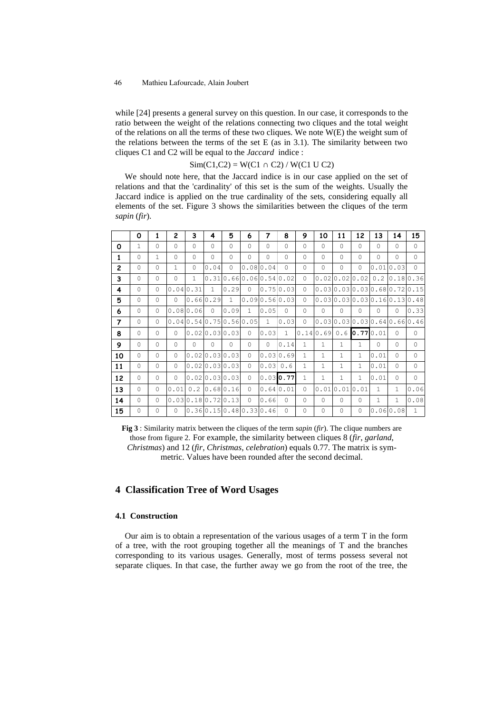while [24] presents a general survey on this question. In our case, it corresponds to the ratio between the weight of the relations connecting two cliques and the total weight of the relations on all the terms of these two cliques. We note W(E) the weight sum of the relations between the terms of the set E (as in 3.1). The similarity between two cliques C1 and C2 will be equal to the *Jaccard* indice :

 $Sim(C1, C2) = W(C1 \cap C2) / W(C1 U C2)$ 

We should note here, that the Jaccard indice is in our case applied on the set of relations and that the 'cardinality' of this set is the sum of the weights. Usually the Jaccard indice is applied on the true cardinality of the sets, considering equally all elements of the set. Figure 3 shows the similarities between the cliques of the term *sapin* (*fir*).

|                | 0            | $\mathbf{1}$ | $\overline{2}$ | 3            | 4                          | 5            | 6                   | 7            | 8            | 9            | 10                            | 11           | 12           | 13           | 14           | 15                              |
|----------------|--------------|--------------|----------------|--------------|----------------------------|--------------|---------------------|--------------|--------------|--------------|-------------------------------|--------------|--------------|--------------|--------------|---------------------------------|
| 0              | $\mathbf{1}$ | $\Omega$     | $\Omega$       | $\Omega$     | $\Omega$                   | $\Omega$     | $\Omega$            | $\cap$       | $\Omega$     | $\Omega$     | $\Omega$                      | $\Omega$     | $\Omega$     | $\Omega$     | $\Omega$     | $\Omega$                        |
| $\mathbf{1}$   | $\Omega$     | $\mathbf{1}$ | $\Omega$       | $\Omega$     | $\Omega$                   | $\Omega$     | $\Omega$            | $\Omega$     | $\Omega$     | $\Omega$     | $\Omega$                      | $\cap$       | $\Omega$     | $\Omega$     | $\Omega$     | $\Omega$                        |
| $\overline{2}$ | $\Omega$     | $\Omega$     | $\mathbf{1}$   | $\Omega$     | 0.04                       | $\circ$      |                     | 0.08 0.04    | $\Omega$     | $\circ$      | $\Omega$                      | $\Omega$     | $\Omega$     |              | 0.01 0.03    | $\Omega$                        |
| 3              | $\Omega$     | $\mathbf{0}$ | $\Omega$       | $\mathbf{1}$ | 0.31                       |              | 0.66 0.06 0.54 0.02 |              |              | $\circ$      |                               |              |              |              |              | 0.02 0.02 0.02 0.2 0.18 0.36    |
| 4              | $\Omega$     | $\Omega$     |                | 0.04 0.31    | $\mathbf{1}$               | 0.29         | $\Omega$            |              | 0.750.03     | $\Omega$     |                               |              |              |              |              | 0.03 0.03 0.03 0.68 0.72 0.15   |
| 5              | $\Omega$     | $\Omega$     | $\Omega$       |              | 0.66 0.29                  | $\mathbf{1}$ | 0.090.560.031       |              |              | $\Omega$     |                               |              |              |              |              | [0.03]0.03]0.03]0.16]0.13]0.48] |
| 6              | $\Omega$     | $\Omega$     |                | 0.080.06     | $\Omega$                   | 0.09         | $\mathbf{1}$        | 0.05         | $\Omega$     | $\Omega$     | $\Omega$                      | $\Omega$     | $\Omega$     | $\Omega$     | $\Omega$     | 0.33                            |
| $\overline{ }$ | $\Omega$     | $\Omega$     |                |              | 0.04 0.54 0.75 0.56 0.05   |              |                     | $\mathbf{1}$ | 0.03         | $\Omega$     |                               |              |              |              |              | [0.03]0.03]0.03]0.64]0.66]0.46] |
| 8              | $\Omega$     | $\Omega$     | $\Omega$       |              | 0.02 0.03 0.03             |              | $\Omega$            | 0.03         | $\mathbf{1}$ |              | $[0.14]0.69]0.6$ $[0.77]0.01$ |              |              |              | $\Omega$     | $\Omega$                        |
| 9              | $\Omega$     | $\Omega$     | $\Omega$       | $\Omega$     | $\cap$                     | $\Omega$     | $\cap$              | $\Omega$     | 0.14         | $\mathbf{1}$ | $\mathbf{1}$                  | $\mathbf{1}$ | 1            | $\Omega$     | $\Omega$     | $\Omega$                        |
| 10             | $\Omega$     | $\Omega$     | $\Omega$       |              | 0.02 0.03 0.03             |              | $\bigcap$           |              | 0.030.69     | $\mathbf{1}$ | $\mathbf{1}$                  | $\mathbf{1}$ | $\mathbf{1}$ | 0.01         | $\Omega$     | $\Omega$                        |
| 11             | $\Omega$     | $\Omega$     | $\Omega$       |              | 0.02 0.03 0.03             |              | $\Omega$            | 0.03         | 0.6          | $\mathbf{1}$ | $\mathbf{1}$                  | $\mathbf{1}$ | 1            | 0.01         | $\Omega$     | $\Omega$                        |
| 12             | $\Omega$     | $\Omega$     | $\Omega$       |              | 0.02 0.03 0.03             |              | $\Omega$            |              | $0.03$ 0.77  | $\mathbf{1}$ | $\mathbf{1}$                  | $\mathbf{1}$ | $\mathbf{1}$ | 0.01         | $\circ$      | $\Omega$                        |
| 13             | $\Omega$     | $\Omega$     | 0.01           |              | $0.2$ 0.68 0.16            |              | $\cap$              |              | 0.640.01     | $\Omega$     |                               | 0.010.010.01 |              | $\mathbf{1}$ | $\mathbf{1}$ | 0.06                            |
| 14             | $\Omega$     | $\Omega$     |                |              | 0.030.180.720.13           |              | $\Omega$            | 0.66         | $\Omega$     | $\Omega$     | $\Omega$                      | $\cap$       | $\Omega$     | $\mathbf{1}$ | $\mathbf{1}$ | 0.08                            |
| 15             | $\circ$      | $\Omega$     | $\Omega$       |              | [0.36]0.15]0.48]0.33]0.46] |              |                     |              | $\Omega$     | $\circ$      | $\Omega$                      | $\Omega$     | $\Omega$     |              | 0.06 0.08    | $\mathbf{1}$                    |

**Fig 3** : Similarity matrix between the cliques of the term *sapin* (*fir*). The clique numbers are those from figure 2. For example, the similarity between cliques 8 (*fir*, *garland*, *Christmas*) and 12 (*fir*, *Christmas*, *celebration*) equals 0.77. The matrix is symmetric. Values have been rounded after the second decimal.

# **4 Classification Tree of Word Usages**

#### **4.1 Construction**

Our aim is to obtain a representation of the various usages of a term T in the form of a tree, with the root grouping together all the meanings of T and the branches corresponding to its various usages. Generally, most of terms possess several not separate cliques. In that case, the further away we go from the root of the tree, the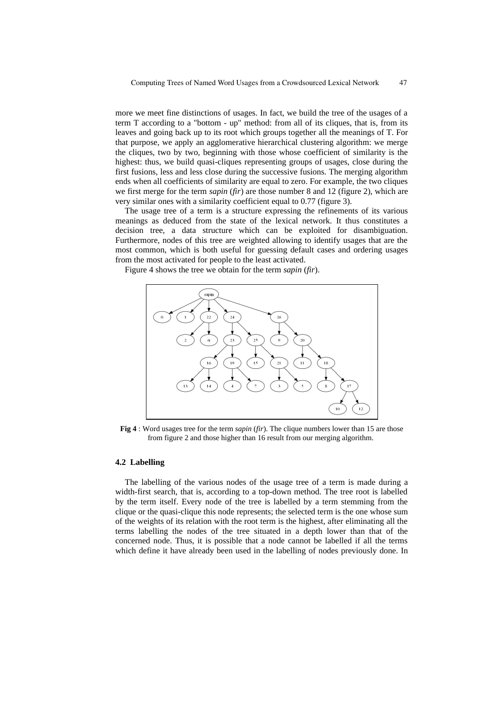more we meet fine distinctions of usages. In fact, we build the tree of the usages of a term T according to a "bottom - up" method: from all of its cliques, that is, from its leaves and going back up to its root which groups together all the meanings of T. For that purpose, we apply an agglomerative hierarchical clustering algorithm: we merge the cliques, two by two, beginning with those whose coefficient of similarity is the highest: thus, we build quasi-cliques representing groups of usages, close during the first fusions, less and less close during the successive fusions. The merging algorithm ends when all coefficients of similarity are equal to zero. For example, the two cliques we first merge for the term *sapin* (*fir*) are those number 8 and 12 (figure 2), which are very similar ones with a similarity coefficient equal to 0.77 (figure 3).

The usage tree of a term is a structure expressing the refinements of its various meanings as deduced from the state of the lexical network. It thus constitutes a decision tree, a data structure which can be exploited for disambiguation. Furthermore, nodes of this tree are weighted allowing to identify usages that are the most common, which is both useful for guessing default cases and ordering usages from the most activated for people to the least activated.

Figure 4 shows the tree we obtain for the term *sapin* (*fir*).



**Fig 4** : Word usages tree for the term *sapin* (*fir*). The clique numbers lower than 15 are those from figure 2 and those higher than 16 result from our merging algorithm.

#### **4.2 Labelling**

The labelling of the various nodes of the usage tree of a term is made during a width-first search, that is, according to a top-down method. The tree root is labelled by the term itself. Every node of the tree is labelled by a term stemming from the clique or the quasi-clique this node represents; the selected term is the one whose sum of the weights of its relation with the root term is the highest, after eliminating all the terms labelling the nodes of the tree situated in a depth lower than that of the concerned node. Thus, it is possible that a node cannot be labelled if all the terms which define it have already been used in the labelling of nodes previously done. In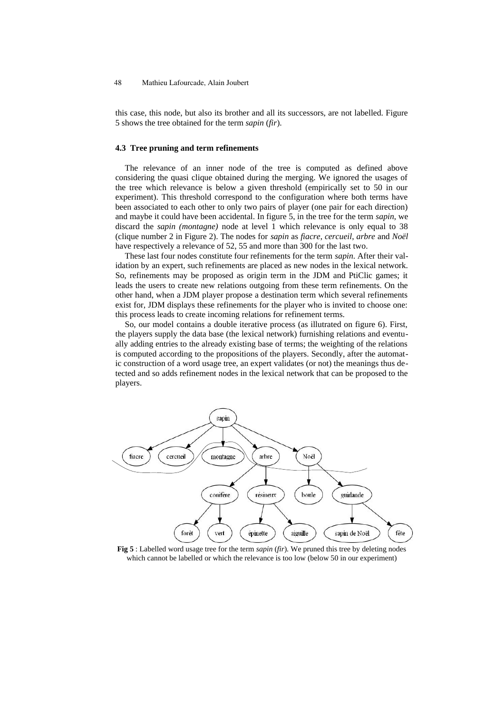this case, this node, but also its brother and all its successors, are not labelled. Figure 5 shows the tree obtained for the term *sapin* (*fir*).

#### **4.3 Tree pruning and term refinements**

The relevance of an inner node of the tree is computed as defined above considering the quasi clique obtained during the merging. We ignored the usages of the tree which relevance is below a given threshold (empirically set to 50 in our experiment). This threshold correspond to the configuration where both terms have been associated to each other to only two pairs of player (one pair for each direction) and maybe it could have been accidental. In figure 5, in the tree for the term *sapin*, we discard the *sapin (montagne)* node at level 1 which relevance is only equal to 38 (clique number 2 in Figure 2). The nodes for *sapin* as *fiacre*, *cercueil*, *arbre* and *Noël* have respectively a relevance of 52, 55 and more than 300 for the last two.

These last four nodes constitute four refinements for the term *sapin*. After their validation by an expert, such refinements are placed as new nodes in the lexical network. So, refinements may be proposed as origin term in the JDM and PtiClic games; it leads the users to create new relations outgoing from these term refinements. On the other hand, when a JDM player propose a destination term which several refinements exist for, JDM displays these refinements for the player who is invited to choose one: this process leads to create incoming relations for refinement terms.

So, our model contains a double iterative process (as illutrated on figure 6). First, the players supply the data base (the lexical network) furnishing relations and eventually adding entries to the already existing base of terms; the weighting of the relations is computed according to the propositions of the players. Secondly, after the automatic construction of a word usage tree, an expert validates (or not) the meanings thus detected and so adds refinement nodes in the lexical network that can be proposed to the players.



**Fig 5** : Labelled word usage tree for the term *sapin* (*fir*). We pruned this tree by deleting nodes which cannot be labelled or which the relevance is too low (below 50 in our experiment)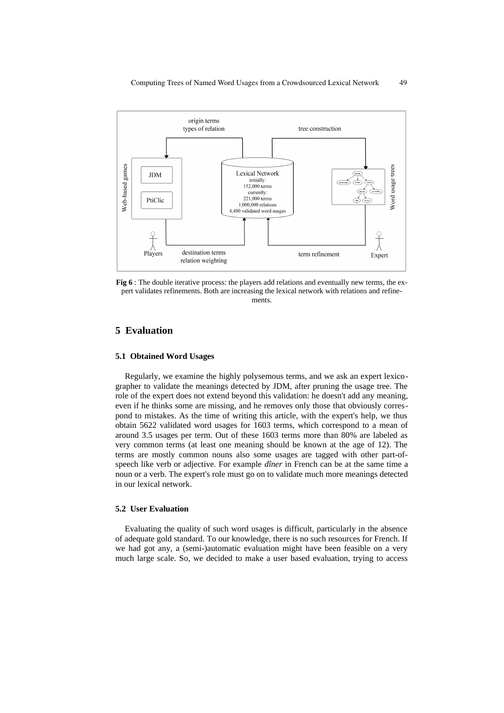

**Fig 6** : The double iterative process: the players add relations and eventually new terms, the expert validates refinements. Both are increasing the lexical network with relations and refinements.

### **5 Evaluation**

#### **5.1 Obtained Word Usages**

Regularly, we examine the highly polysemous terms, and we ask an expert lexicographer to validate the meanings detected by JDM, after pruning the usage tree. The role of the expert does not extend beyond this validation: he doesn't add any meaning, even if he thinks some are missing, and he removes only those that obviously correspond to mistakes. As the time of writing this article, with the expert's help, we thus obtain 5622 validated word usages for 1603 terms, which correspond to a mean of around 3.5 usages per term. Out of these 1603 terms more than 80% are labeled as very common terms (at least one meaning should be known at the age of 12). The terms are mostly common nouns also some usages are tagged with other part-ofspeech like verb or adjective. For example *dîner* in French can be at the same time a noun or a verb. The expert's role must go on to validate much more meanings detected in our lexical network.

#### **5.2 User Evaluation**

Evaluating the quality of such word usages is difficult, particularly in the absence of adequate gold standard. To our knowledge, there is no such resources for French. If we had got any, a (semi-)automatic evaluation might have been feasible on a very much large scale. So, we decided to make a user based evaluation, trying to access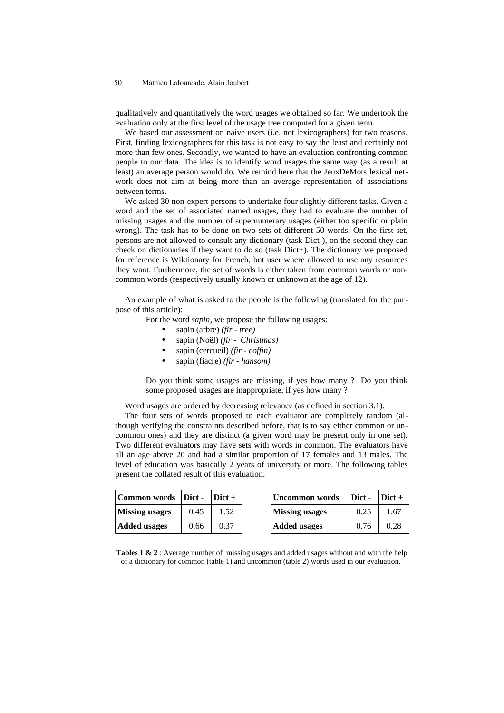qualitatively and quantitatively the word usages we obtained so far. We undertook the evaluation only at the first level of the usage tree computed for a given term.

We based our assessment on naive users (i.e. not lexicographers) for two reasons. First, finding lexicographers for this task is not easy to say the least and certainly not more than few ones. Secondly, we wanted to have an evaluation confronting common people to our data. The idea is to identify word usages the same way (as a result at least) an average person would do. We remind here that the JeuxDeMots lexical network does not aim at being more than an average representation of associations between terms.

We asked 30 non-expert persons to undertake four slightly different tasks. Given a word and the set of associated named usages, they had to evaluate the number of missing usages and the number of supernumerary usages (either too specific or plain wrong). The task has to be done on two sets of different 50 words. On the first set, persons are not allowed to consult any dictionary (task Dict-), on the second they can check on dictionaries if they want to do so (task Dict+). The dictionary we proposed for reference is Wiktionary for French, but user where allowed to use any resources they want. Furthermore, the set of words is either taken from common words or noncommon words (respectively usually known or unknown at the age of 12).

An example of what is asked to the people is the following (translated for the purpose of this article):

For the word *sapin*, we propose the following usages:

- sapin (arbre) *(fir tree)*
- sapin (Noël) *(fir Christmas)*
- sapin (cercueil) *(fir coffin)*
- sapin (fiacre) *(fir hansom)*

Do you think some usages are missing, if yes how many ? Do you think some proposed usages are inappropriate, if yes how many ?

Word usages are ordered by decreasing relevance (as defined in section 3.1).

The four sets of words proposed to each evaluator are completely random (although verifying the constraints described before, that is to say either common or uncommon ones) and they are distinct (a given word may be present only in one set). Two different evaluators may have sets with words in common. The evaluators have all an age above 20 and had a similar proportion of 17 females and 13 males. The level of education was basically 2 years of university or more. The following tables present the collated result of this evaluation.

| Common words   Dict - |      | $Dict +$ | Uncommon words        | Dict - | $\text{Dict} +$ |
|-----------------------|------|----------|-----------------------|--------|-----------------|
| <b>Missing usages</b> | 0.45 | 1.52     | <b>Missing usages</b> | 0.25   | .67             |
| <b>Added usages</b>   | 0.66 | 0.37     | <b>Added usages</b>   | 0.76   | 0.28            |

**Tables 1 & 2** : Average number of missing usages and added usages without and with the help of a dictionary for common (table 1) and uncommon (table 2) words used in our evaluation.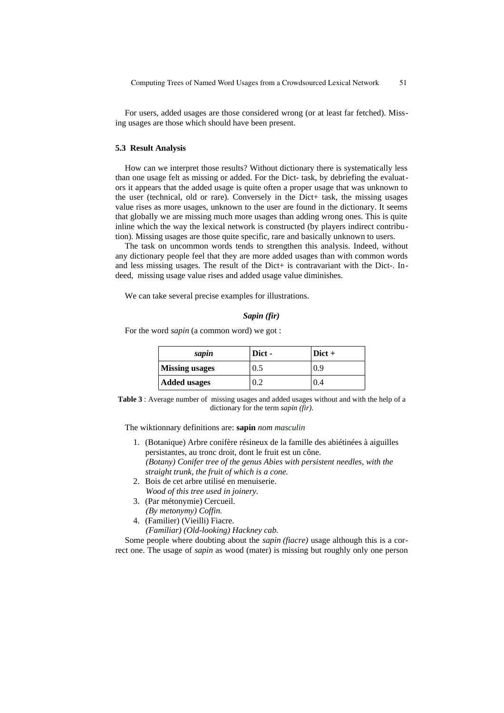For users, added usages are those considered wrong (or at least far fetched). Missing usages are those which should have been present.

#### **5.3 Result Analysis**

How can we interpret those results? Without dictionary there is systematically less than one usage felt as missing or added. For the Dict- task, by debriefing the evaluators it appears that the added usage is quite often a proper usage that was unknown to the user (technical, old or rare). Conversely in the Dict+ task, the missing usages value rises as more usages, unknown to the user are found in the dictionary. It seems that globally we are missing much more usages than adding wrong ones. This is quite inline which the way the lexical network is constructed (by players indirect contribution). Missing usages are those quite specific, rare and basically unknown to users.

The task on uncommon words tends to strengthen this analysis. Indeed, without any dictionary people feel that they are more added usages than with common words and less missing usages. The result of the Dict+ is contravariant with the Dict-. Indeed, missing usage value rises and added usage value diminishes.

We can take several precise examples for illustrations.

#### *Sapin (fir)*

For the word *sapin* (a common word) we got :

| sapin                 | Dict - | $ $ Dict + |
|-----------------------|--------|------------|
| <b>Missing usages</b> | 0.5    | 0.9        |
| Added usages          |        | 0.4        |

**Table 3** : Average number of missing usages and added usages without and with the help of a dictionary for the term *sapin (fir)*.

The wiktionnary definitions are: **sapin** *nom masculin*

- 1. (Botanique) Arbre conifère résineux de la famille des abiétinées à aiguilles persistantes, au tronc droit, dont le fruit est un cône. *(Botany) Conifer tree of the genus Abies with persistent needles, with the straight trunk, the fruit of which is a cone.*
- 2. Bois de cet arbre utilisé en menuiserie. *Wood of this tree used in joinery.*
- 3. (Par métonymie) Cercueil. *(By metonymy) Coffin.*
- 4. (Familier) (Vieilli) Fiacre. *(Familiar) (Old-looking) Hackney cab.*

Some people where doubting about the *sapin (fiacre)* usage although this is a correct one. The usage of *sapin* as wood (mater) is missing but roughly only one person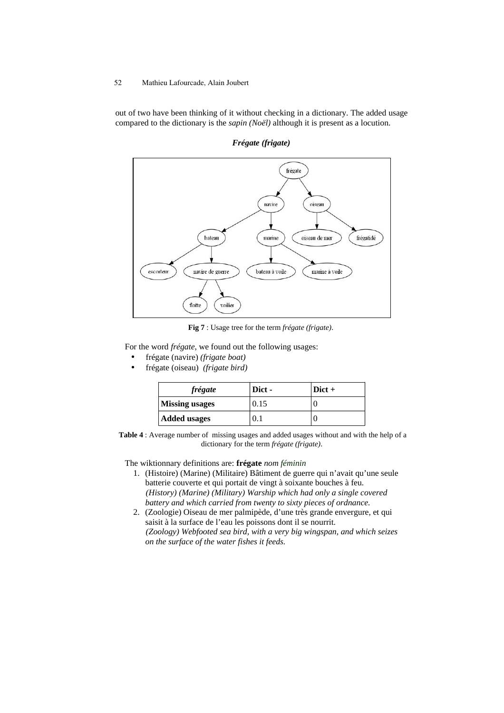out of two have been thinking of it without checking in a dictionary. The added usage compared to the dictionary is the *sapin (Noël)* although it is present as a locution.



*Frégate (frigate)*

**Fig 7** : Usage tree for the term *frégate (frigate)*.

For the word *frégate*, we found out the following usages:

- frégate (navire) *(frigate boat)*
- frégate (oiseau) *(frigate bird)*

| frégate             | Dict -      | $\vert$ Dict + |
|---------------------|-------------|----------------|
| Missing usages      | 0.15        |                |
| <b>Added usages</b> | $\cdot 0.5$ |                |

**Table 4** : Average number of missing usages and added usages without and with the help of a dictionary for the term *frégate (frigate)*.

The wiktionnary definitions are: **frégate** *nom féminin*

- 1. (Histoire) (Marine) (Militaire) Bâtiment de guerre qui n'avait qu'une seule batterie couverte et qui portait de vingt à soixante bouches à feu. *(History) (Marine) (Military) Warship which had only a single covered battery and which carried from twenty to sixty pieces of ordnance.*
- 2. (Zoologie) Oiseau de mer palmipède, d'une très grande envergure, et qui saisit à la surface de l'eau les poissons dont il se nourrit. *(Zoology) Webfooted sea bird, with a very big wingspan, and which seizes on the surface of the water fishes it feeds.*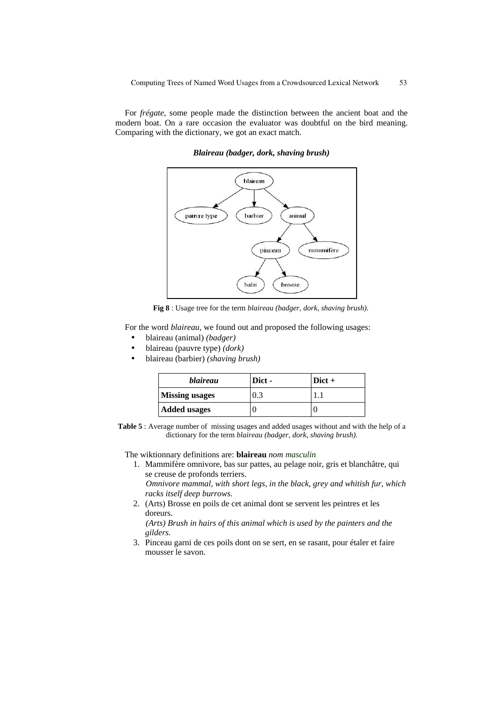For *frégate,* some people made the distinction between the ancient boat and the modern boat. On a rare occasion the evaluator was doubtful on the bird meaning. Comparing with the dictionary, we got an exact match.



### *Blaireau (badger, dork, shaving brush)*

**Fig 8** : Usage tree for the term *blaireau (badger, dork, shaving brush)*.

For the word *blaireau*, we found out and proposed the following usages:

- blaireau (animal) *(badger)*
- blaireau (pauvre type) *(dork)*
- blaireau (barbier) *(shaving brush)*

| <i>blaireau</i>       | Dict - | $ $ Dict + |
|-----------------------|--------|------------|
| <b>Missing usages</b> | 0.3    |            |
| Added usages          |        |            |

**Table 5** : Average number of missing usages and added usages without and with the help of a dictionary for the term *blaireau (badger, dork, shaving brush)*.

The wiktionnary definitions are: **blaireau** *nom masculin*

- 1. Mammifère omnivore, bas sur pattes, au pelage noir, gris et blanchâtre, qui se creuse de profonds terriers. *Omnivore mammal, with short legs, in the black, grey and whitish fur, which*
- *racks itself deep burrows.* 2. (Arts) Brosse en poils de cet animal dont se servent les peintres et les doreurs.

*(Arts) Brush in hairs of this animal which is used by the painters and the gilders.*

3. Pinceau garni de ces poils dont on se sert, en se rasant, pour étaler et faire mousser le savon.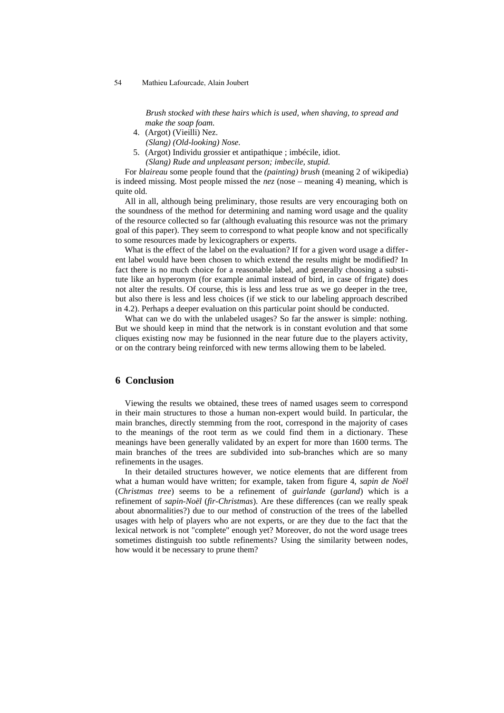*Brush stocked with these hairs which is used, when shaving, to spread and make the soap foam.*

- 4. (Argot) (Vieilli) Nez. *(Slang) (Old-looking) Nose.*
- 5. (Argot) Individu grossier et antipathique ; imbécile, idiot. *(Slang) Rude and unpleasant person; imbecile, stupid.*

For *blaireau* some people found that the *(painting) brush* (meaning 2 of wikipedia) is indeed missing. Most people missed the *nez* (nose – meaning 4) meaning, which is quite old.

All in all, although being preliminary, those results are very encouraging both on the soundness of the method for determining and naming word usage and the quality of the resource collected so far (although evaluating this resource was not the primary goal of this paper). They seem to correspond to what people know and not specifically to some resources made by lexicographers or experts.

What is the effect of the label on the evaluation? If for a given word usage a different label would have been chosen to which extend the results might be modified? In fact there is no much choice for a reasonable label, and generally choosing a substitute like an hyperonym (for example animal instead of bird, in case of frigate) does not alter the results. Of course, this is less and less true as we go deeper in the tree, but also there is less and less choices (if we stick to our labeling approach described in 4.2). Perhaps a deeper evaluation on this particular point should be conducted.

What can we do with the unlabeled usages? So far the answer is simple: nothing. But we should keep in mind that the network is in constant evolution and that some cliques existing now may be fusionned in the near future due to the players activity, or on the contrary being reinforced with new terms allowing them to be labeled.

### **6 Conclusion**

Viewing the results we obtained, these trees of named usages seem to correspond in their main structures to those a human non-expert would build. In particular, the main branches, directly stemming from the root, correspond in the majority of cases to the meanings of the root term as we could find them in a dictionary. These meanings have been generally validated by an expert for more than 1600 terms. The main branches of the trees are subdivided into sub-branches which are so many refinements in the usages.

In their detailed structures however, we notice elements that are different from what a human would have written; for example, taken from figure 4, *sapin de Noël* (*Christmas tree*) seems to be a refinement of *guirlande* (*garland*) which is a refinement of *sapin-Noël* (*fir-Christmas*). Are these differences (can we really speak about abnormalities?) due to our method of construction of the trees of the labelled usages with help of players who are not experts, or are they due to the fact that the lexical network is not "complete" enough yet? Moreover, do not the word usage trees sometimes distinguish too subtle refinements? Using the similarity between nodes, how would it be necessary to prune them?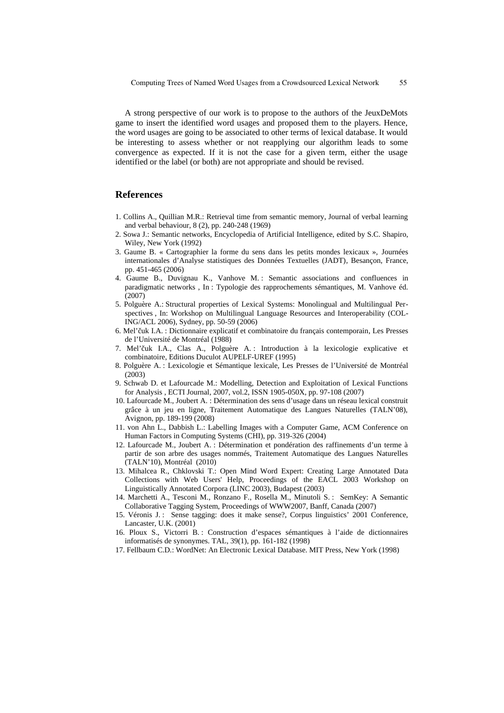A strong perspective of our work is to propose to the authors of the JeuxDeMots game to insert the identified word usages and proposed them to the players. Hence, the word usages are going to be associated to other terms of lexical database. It would be interesting to assess whether or not reapplying our algorithm leads to some convergence as expected. If it is not the case for a given term, either the usage identified or the label (or both) are not appropriate and should be revised.

### **References**

- 1. Collins A., Quillian M.R.: Retrieval time from semantic memory, Journal of verbal learning and verbal behaviour, 8 (2), pp. 240-248 (1969)
- 2. Sowa J.: Semantic networks, Encyclopedia of Artificial Intelligence, edited by S.C. Shapiro, Wiley, New York (1992)
- 3. Gaume B. « Cartographier la forme du sens dans les petits mondes lexicaux », Journées internationales d'Analyse statistiques des Données Textuelles (JADT), Besançon, France, pp. 451-465 (2006)
- 4. Gaume B., Duvignau K., Vanhove M. : Semantic associations and confluences in paradigmatic networks , In : Typologie des rapprochements sémantiques, M. Vanhove éd. (2007)
- 5. Polguère A.: Structural properties of Lexical Systems: Monolingual and Multilingual Perspectives , In: Workshop on Multilingual Language Resources and Interoperability (COL-ING/ACL 2006), Sydney, pp. 50-59 (2006)
- 6. Mel'čuk I.A. : Dictionnaire explicatif et combinatoire du français contemporain, Les Presses de l'Université de Montréal (1988)
- 7. Mel'čuk I.A., Clas A., Polguère A. : Introduction à la lexicologie explicative et combinatoire, Editions Duculot AUPELF-UREF (1995)
- 8. Polguère A. : Lexicologie et Sémantique lexicale, Les Presses de l'Université de Montréal (2003)
- 9. Schwab D. et Lafourcade M.: Modelling, Detection and Exploitation of Lexical Functions for Analysis , ECTI Journal, 2007, vol.2, ISSN 1905-050X, pp. 97-108 (2007)
- 10. Lafourcade M., Joubert A. : Détermination des sens d'usage dans un réseau lexical construit grâce à un jeu en ligne, Traitement Automatique des Langues Naturelles (TALN'08), Avignon, pp. 189-199 (2008)
- 11. von Ahn L., Dabbish L.: Labelling Images with a Computer Game, ACM Conference on Human Factors in Computing Systems (CHI), pp. 319-326 (2004)
- 12. Lafourcade M., Joubert A. : Détermination et pondération des raffinements d'un terme à partir de son arbre des usages nommés, Traitement Automatique des Langues Naturelles (TALN'10), Montréal (2010)
- 13. Mihalcea R., Chklovski T.: Open Mind Word Expert: Creating Large Annotated Data Collections with Web Users' Help, Proceedings of the EACL 2003 Workshop on Linguistically Annotated Corpora (LINC 2003), Budapest (2003)
- 14. Marchetti A., Tesconi M., Ronzano F., Rosella M., Minutoli S. : SemKey: A Semantic Collaborative Tagging System, Proceedings of WWW2007, Banff, Canada (2007)
- 15. Véronis J. : Sense tagging: does it make sense?, Corpus linguistics' 2001 Conference, Lancaster, U.K. (2001)
- 16. Ploux S., Victorri B. : Construction d'espaces sémantiques à l'aide de dictionnaires informatisés de synonymes. TAL, 39(1), pp. 161-182 (1998)
- 17. Fellbaum C.D.: WordNet: An Electronic Lexical Database. MIT Press, New York (1998)